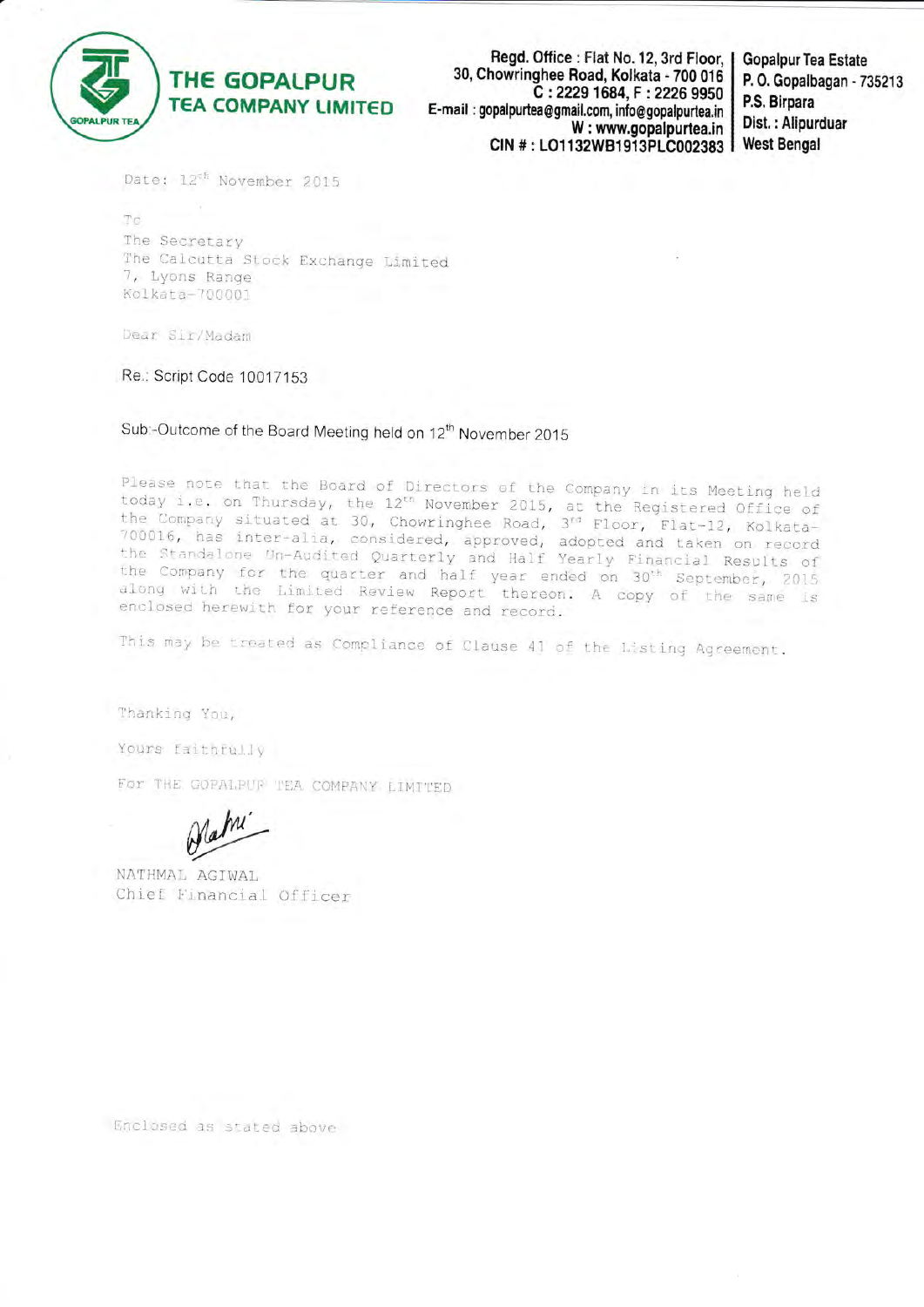

# THE GOPALPUR **TEA COMPANY LIMITED**

Read. Office : Flat No. 12, 3rd Floor, 30, Chowringhee Road, Kolkata - 700 016 C: 2229 1684, F: 2226 9950 E-mail: gopalpurtea@gmail.com, info@gopalpurtea.in W: www.gopalpurtea.in CIN #: LO1132WB1913PLC002383

**Gopalpur Tea Estate** P. O. Gopalbagan - 735213 P.S. Birpara Dist.: Alipurduar **West Bengal** 

Date: 12<sup>th</sup> November 2015

 $\hat{\tau}$ The Secretary The Calcutta Stock Exchange Limited 7, Lyons Range Kolkata-700001

Dear Sir/Madam

Re.: Script Code 10017153

Sub:-Outcome of the Board Meeting held on 12<sup>th</sup> November 2015

Please note that the Board of Directors of the Company in its Meeting held today i.e. on Thursday, the 12<sup>th</sup> November 2015, at the Registered Office of<br>the Company situated at 30, Chowringhee Road, 3<sup>rd</sup> Floor, Flat-12, Kolkata-<br>700016, has inter-alia, considered, approved, adopted and taken on the Company for the quarter and half year ended on 30<sup>th</sup> September, 2015 along with the Limited Review Report thereon. A copy of the same is enclosed herewith for your reference and record.

This may be treated as Compliance of Clause 41 of the Listing Agreement.

Thanking You,

Yours faithfully

For THE GOPALBUR TEA COMPANY LIMITED

NATHMAL AGIWAL Chief Financial Officer

Enclosed as stated above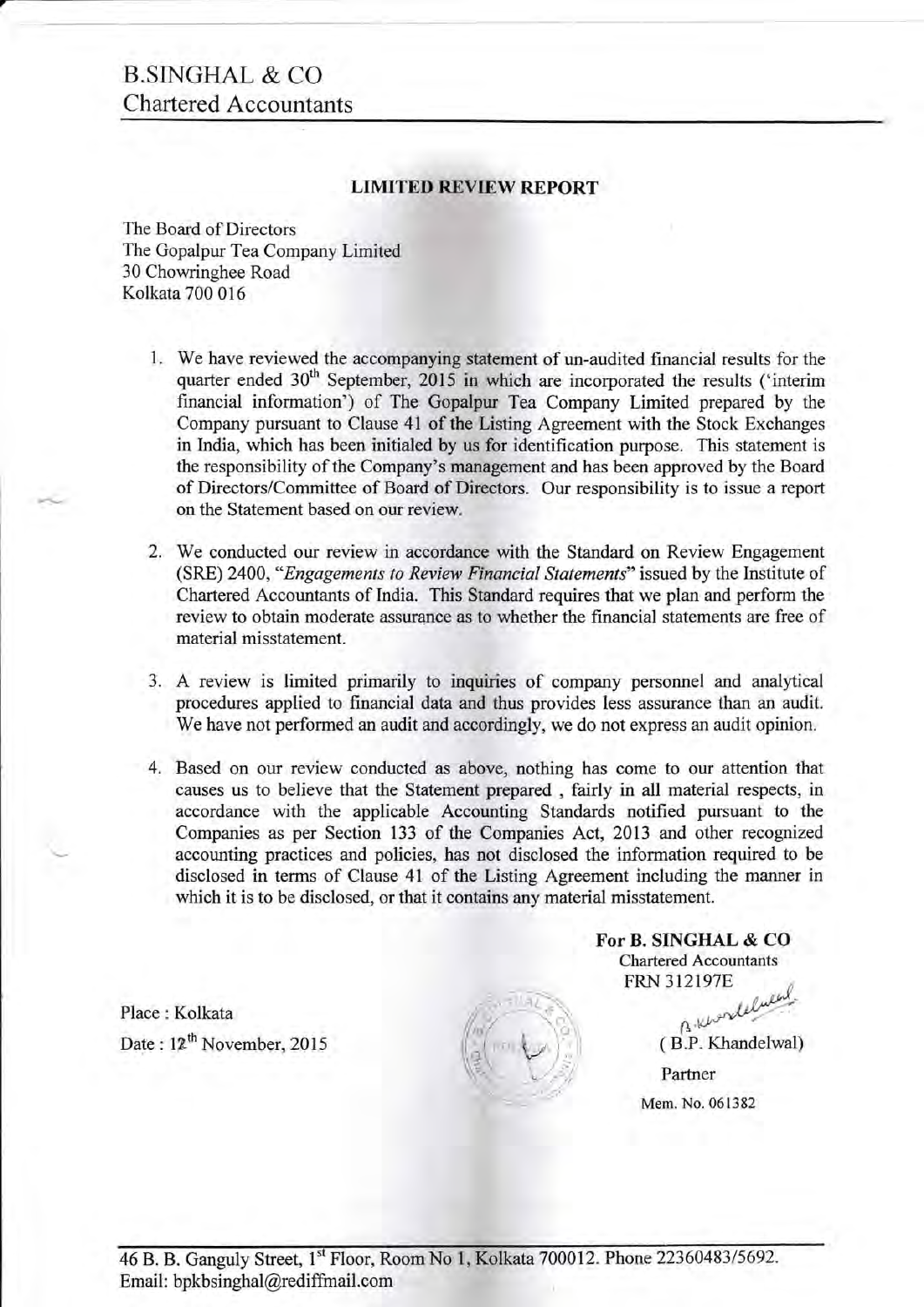# B.SINGHAL & CO Chartered Accountants

### **LIMITED REVIEW REPORT**

The Board of Directors The Gopalpur Tea Company Limited 30 Chowringhee Road<br>Kolkata 700 016

- 1. We have reviewed the accompanying statement of un-audited financial results for the quarter ended 30<sup>th</sup> September, 2015 in which are incorporated the results ('interim financial information') of The Gopalpur Tea Company Limited prepared by the Company pursuant to Clause 4l of the Listing Agreement with the Stock Exchanges in India, which has been initialed by us for identification purpose. This statement is the responsibility of the Company's management and has been approved by the Board of Directors/Committee of Board of Directors. Our responsibility is to issue a report on the Statement based on our review.
- We conducted our review in accordance with the Standard on Review Engagement 2. (SRE) 2400, "Engagements to Review Financial Statements" issued by the Institute of Chartered Accountants of India. This Standard requires that we plan and perform the review to obtain moderate assurance as to whether the financial statements are free of material misstatement.
- 3. A review is limited primarily to inquiries of company personnel and analytical procedures applied to financial data and thus provides less assurance than an audit. We have not performed an audit and accordingly, we do not express an audit opinion.
- 4. Based on our review conducted as above, nothing has come to our attention that causes us to believe that the Statement prepared , fairly in all material respects, in accordance with the applicable Accounting Standards notified pursuant to the Companies as per Section 133 of the Companies Act, 2013 and other recognized accounting practices and policies, has not disclosed the information required to be disclosed in terms of Clause 4l of the Listing Agreement including the manner in which it is to be disclosed, or that it contains any material misstatement.

Place : Kolkata Date: 12<sup>th</sup> November, 2015

( B.P. Khandelwal) Partner Mem. No. 061382

 $\int_{\mathbb{R}} \psi$ 

 $\ell_{\mu\nu}$  $\iota$  ,  $\iota$  ,  $\iota$ 

For B. SINGHAL & CO Chartered Accountants FRN 3I2I97E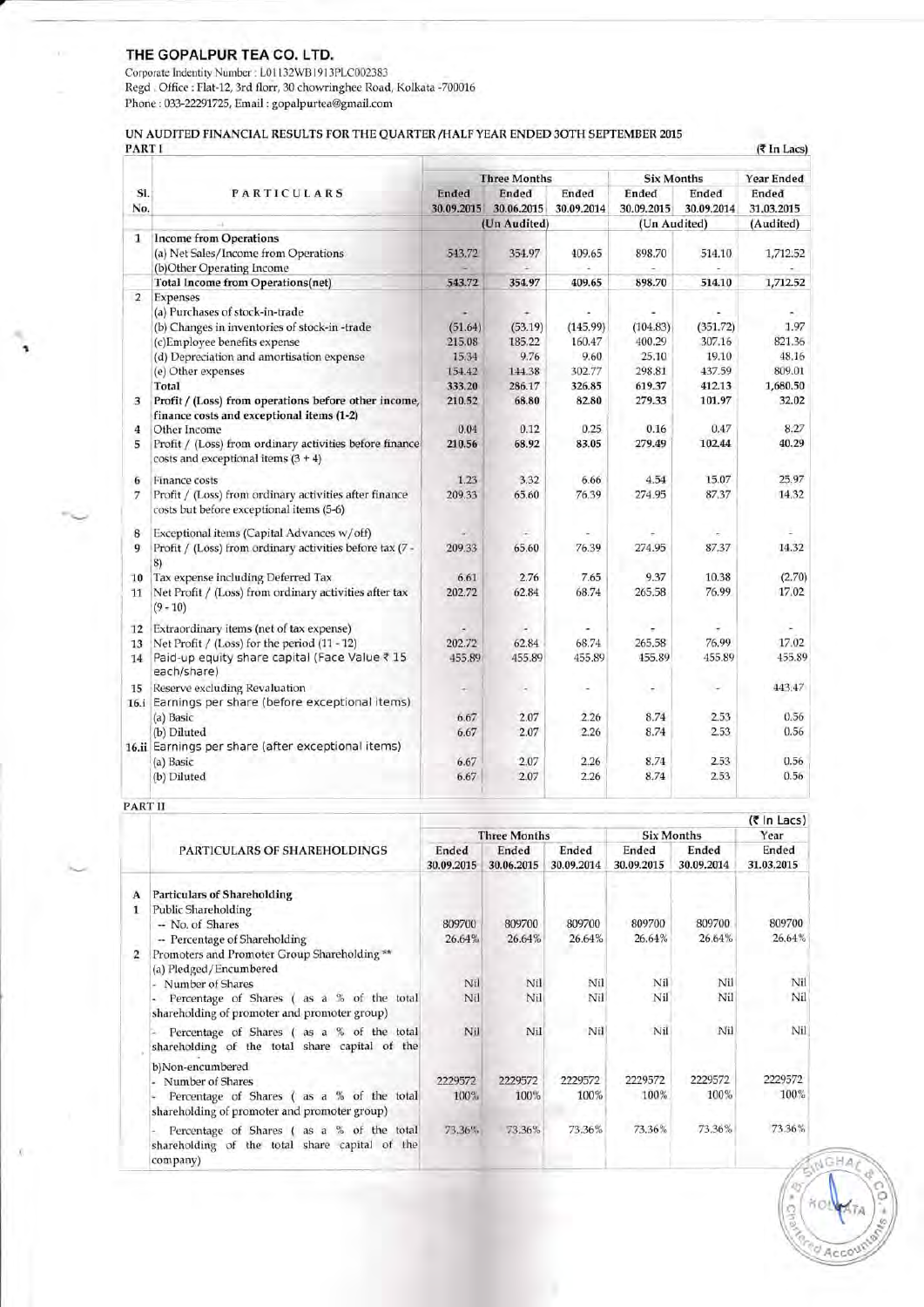### THE GOPALPUR TEA CO. LTD.

Corporate Indentity Number : L01132WB1913PLC002383 Regd . Office : Flat-12, 3rd florr, 30 chowringhee Road, Kolkata -700016 Phone : 033-22291725, Ema;i, : gopalpurtea@gmail.com

#### UN AUDITED FINANCIAL RESULTS FOR THE QUARTER/HALF YEAR ENDED 3OTH SEPTEMBER 2015

 $(3 \text{ In } \text{Lacs})$ 

Acc

|                         |                                                                                                    | <b>Three Months</b> |              |            | <b>Six Months</b> |            | Year Ended |  |
|-------------------------|----------------------------------------------------------------------------------------------------|---------------------|--------------|------------|-------------------|------------|------------|--|
| SI.                     | <b>PARTICULARS</b>                                                                                 | Ended               | Ended        | Ended      | Ended             | Ended      | Ended      |  |
| No.                     |                                                                                                    | 30.09.2015          | 30.06.2015   | 30.09.2014 | 30.09.2015        | 30.09.2014 | 31.03.2015 |  |
|                         |                                                                                                    |                     | (Un Audited) |            | (Un Audited)      |            | (Audited)  |  |
| 1                       | <b>Income from Operations</b>                                                                      |                     |              |            |                   |            |            |  |
|                         | (a) Net Sales/Income from Operations                                                               | 543.72              | 354.97       | 409.65     | 898.70            | 514.10     | 1,712.52   |  |
|                         | (b)Other Operating Income                                                                          |                     |              | a.         |                   |            |            |  |
|                         | <b>Total Income from Operations(net)</b>                                                           | 543.72              | 354.97       | 409.65     | 898.70            | 514.10     | 1,712.52   |  |
| $\overline{2}$          | Expenses                                                                                           |                     |              |            |                   |            |            |  |
|                         | (a) Purchases of stock-in-trade                                                                    |                     |              |            |                   |            |            |  |
|                         | (b) Changes in inventories of stock-in-trade                                                       | (51.64)             | (53.19)      | (145.99)   | (104.83)          | (351.72)   | 1.97       |  |
|                         | (c)Employee benefits expense                                                                       | 215.08              | 185.22       | 160.47     | 400.29            | 307.16     | 821.36     |  |
|                         | (d) Depreciation and amortisation expense                                                          | 15.34               | 9.76         | 9.60       | 25.10             | 19.10      | 48.16      |  |
|                         | (e) Other expenses                                                                                 | 154.42              | 144.38       | 302.77     | 298.81            | 437.59     | 809.01     |  |
|                         | Total                                                                                              | 333.20              | 286.17       | 326.85     | 619.37            | 412.13     | 1,680.50   |  |
| 3                       | Profit / (Loss) from operations before other income,<br>finance costs and exceptional items (1-2)  | 210.52              | 68.80        | 82.80      | 279.33            | 101.97     | 32.02      |  |
| 4                       | Other Income                                                                                       | 0.04                | 0.12         | 0.25       | 0.16              | 0.47       | 8.27       |  |
| 5                       | Profit / (Loss) from ordinary activities before finance<br>costs and exceptional items $(3 + 4)$   | 210.56              | 68.92        | 83.05      | 279.49            | 102.44     | 40.29      |  |
| 6                       | Finance costs                                                                                      | 1.23                | 3.32         | 6.66       | 4.54              | 15.07      | 25.97      |  |
| 7                       | Profit / (Loss) from ordinary activities after finance<br>costs but before exceptional items (5-6) | 209.33              | 65.60        | 76.39      | 274.95            | 87.37      | 14.32      |  |
| $\overline{\mathbf{8}}$ | Exceptional items (Capital Advances w/off)                                                         |                     |              |            |                   |            |            |  |
| 9                       | Profit / (Loss) from ordinary activities before tax (7 -<br>8)                                     | 209.33              | 65.60        | 76.39      | 274.95            | 87.37      | 14.32      |  |
| 10                      | Tax expense including Deferred Tax                                                                 | 6.61                | 2.76         | 7.65       | 9.37              | 10.38      | (2.70)     |  |
| 11                      | Net Profit / (Loss) from ordinary activities after tax<br>$(9 - 10)$                               | 202.72              | 62.84        | 68.74      | 265.58            | 76.99      | 17.02      |  |
| 12                      | Extraordinary items (net of tax expense)                                                           |                     |              |            |                   |            | ÷          |  |
| 13                      | Net Profit / (Loss) for the period (11 - 12)                                                       | 202.72              | 62.84        | 68.74      | 265.58            | 76.99      | 17.02      |  |
| 14                      | Paid-up equity share capital (Face Value ₹ 15<br>each/share)                                       | 455.89              | 455.89       | 455.89     | 455.89            | 455.89     | 455.89     |  |
| 15                      | <b>Reserve excluding Revaluation</b>                                                               | ۰                   | $\sim$       | ×          | ÷.                | ÷          | 443.47     |  |
| 16.i                    | Earnings per share (before exceptional items)                                                      |                     |              |            |                   |            |            |  |
|                         | (a) Basic                                                                                          | 6.67                | 2.07         | 2.26       | 8.74              | 2.53       | 0.56       |  |
|                         | (b) Diluted                                                                                        | 6.67                | 2.07         | 2.26       | 8.74              | 2.53       | 0.56       |  |
|                         | 16.ii Earnings per share (after exceptional items)                                                 |                     |              |            |                   |            |            |  |
|                         | (a) Basic                                                                                          | 6.67                | 2.07         | 2.26       | 8.74              | 2.53       | 0.56       |  |
|                         | (b) Diluted                                                                                        | 6.67                | 2.07         | 2.26       | 8.74              | 2.53       | 0.56       |  |

PART II

**I** 

 $\sim$ 

|        |                                                                                                |                     |                     |                     |                     |                     | (₹ In Lacs)         |
|--------|------------------------------------------------------------------------------------------------|---------------------|---------------------|---------------------|---------------------|---------------------|---------------------|
|        |                                                                                                |                     | <b>Three Months</b> |                     |                     | <b>Six Months</b>   | Year                |
|        | PARTICULARS OF SHAREHOLDINGS                                                                   | Ended<br>30.09.2015 | Ended<br>30.06.2015 | Ended<br>30.09.2014 | Ended<br>30.09.2015 | Ended<br>30.09.2014 | Ended<br>31.03.2015 |
| A<br>1 | <b>Particulars of Shareholding</b><br><b>Public Shareholding</b>                               |                     |                     |                     |                     |                     |                     |
|        | - No. of Shares<br>-- Percentage of Shareholding                                               | 809700<br>26.64%    | 809700<br>26.64%    | 809700<br>26.64%    | 809700<br>26.64%    | 809700<br>26.64%    | 809700<br>26.64%    |
|        | Promoters and Promoter Group Shareholding **<br>(a) Pledged/Encumbered                         |                     |                     |                     |                     |                     |                     |
|        | - Number of Shares                                                                             | Nil                 | Nil                 | Nil                 | Nil                 | Nil                 | Nil                 |
|        | Percentage of Shares (as a % of the total<br>۰<br>shareholding of promoter and promoter group) | Nil                 | Nil                 | Nil                 | Nil                 | Nil                 | Nil                 |
|        | Percentage of Shares (as a % of the total<br>shareholding of the total share capital of the    | Nil                 | Nil                 | Nil                 | Nil                 | Nil                 | Nil                 |
|        | b)Non-encumbered<br>Number of Shares                                                           | 2229572             | 2229572             | 2229572             | 2229572             | 2229572             | 2229572             |
|        | Percentage of Shares (as a % of the total<br>shareholding of promoter and promoter group)      | 100%                | 100%                | 100%                | 100%                | 100%                | 100%                |
|        | Percentage of Shares (as a % of the total<br>shareholding of the total share capital of the    | 73.36%              | 73.36%              | 73.36%              | 73.36%              | 73.36%              | 73.36%              |
|        | company)                                                                                       |                     |                     |                     |                     |                     |                     |